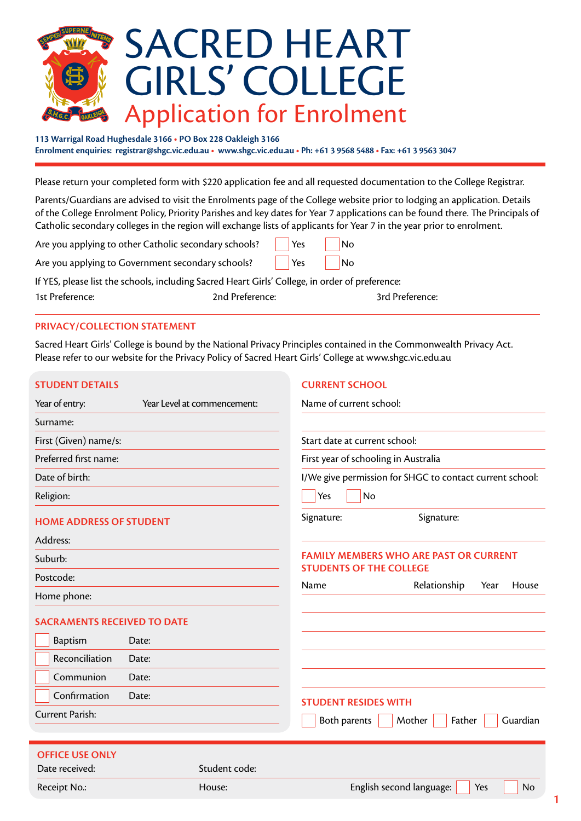

**113 Warrigal Road Hughesdale 3166 • PO Box 228 Oakleigh 3166 Enrolment enquiries: registrar@shgc.vic.edu.au • www.shgc.vic.edu.au • Ph: +61 3 9568 5488 • Fax: +61 3 9563 3047**

Please return your completed form with \$220 application fee and all requested documentation to the College Registrar.

Parents/Guardians are advised to visit the Enrolments page of the College website prior to lodging an application. Details of the College Enrolment Policy, Priority Parishes and key dates for Year 7 applications can be found there. The Principals of Catholic secondary colleges in the region will exchange lists of applicants for Year 7 in the year prior to enrolment.

| Are you applying to other Catholic secondary schools? | $\vert$ Yes | No |
|-------------------------------------------------------|-------------|----|
|                                                       |             |    |

Are you applying to Government secondary schools? | | Yes | No

If YES, please list the schools, including Sacred Heart Girls' College, in order of preference: 1st Preference: 2nd Preference: 3rd Preference:

#### **PRIVACY/COLLECTION STATEMENT**

Sacred Heart Girls' College is bound by the National Privacy Principles contained in the Commonwealth Privacy Act. Please refer to our website for the Privacy Policy of Sacred Heart Girls' College at www.shgc.vic.edu.au

| <b>STUDENT DETAILS</b> |  |  |  |  |  |  |  |  |  |
|------------------------|--|--|--|--|--|--|--|--|--|
|------------------------|--|--|--|--|--|--|--|--|--|

### **CURRENT SCHOOL**

**1**

| Year of entry:                     |       | Year Level at commencement: | Name of current school:        |                                                          |           |
|------------------------------------|-------|-----------------------------|--------------------------------|----------------------------------------------------------|-----------|
| Surname:                           |       |                             |                                |                                                          |           |
| First (Given) name/s:              |       |                             | Start date at current school:  |                                                          |           |
| Preferred first name:              |       |                             |                                | First year of schooling in Australia                     |           |
| Date of birth:                     |       |                             |                                | I/We give permission for SHGC to contact current school: |           |
| Religion:                          |       |                             | Yes                            | No                                                       |           |
| <b>HOME ADDRESS OF STUDENT</b>     |       |                             | Signature:                     | Signature:                                               |           |
| Address:                           |       |                             |                                |                                                          |           |
| Suburb:                            |       |                             | <b>STUDENTS OF THE COLLEGE</b> | <b>FAMILY MEMBERS WHO ARE PAST OR CURRENT</b>            |           |
| Postcode:                          |       |                             | Name                           | Relationship<br>Year                                     | House     |
| Home phone:                        |       |                             |                                |                                                          |           |
| <b>SACRAMENTS RECEIVED TO DATE</b> |       |                             |                                |                                                          |           |
| <b>Baptism</b>                     | Date: |                             |                                |                                                          |           |
| Reconciliation                     | Date: |                             |                                |                                                          |           |
| Communion                          | Date: |                             |                                |                                                          |           |
| Confirmation                       | Date: |                             | <b>STUDENT RESIDES WITH</b>    |                                                          |           |
| <b>Current Parish:</b>             |       |                             | Both parents                   | Mother<br>Father                                         | Guardian  |
|                                    |       |                             |                                |                                                          |           |
| <b>OFFICE USE ONLY</b>             |       |                             |                                |                                                          |           |
| Date received:                     |       | Student code:               |                                |                                                          |           |
| Receipt No.:                       |       | House:                      |                                | English second language:<br>Yes                          | <b>No</b> |
|                                    |       |                             |                                |                                                          |           |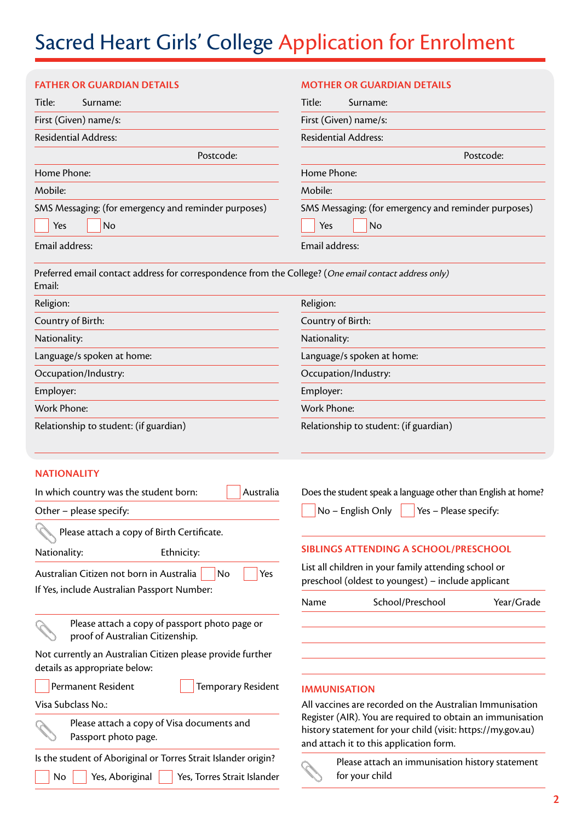# Sacred Heart Girls' College Application for Enrolment

| <b>FATHER OR GUARDIAN DETAILS</b>                                                                                      | <b>MOTHER OR GUARDIAN DETAILS</b>                                                                                                                                    |
|------------------------------------------------------------------------------------------------------------------------|----------------------------------------------------------------------------------------------------------------------------------------------------------------------|
| Title:<br>Surname:                                                                                                     | Title:<br>Surname:                                                                                                                                                   |
| First (Given) name/s:                                                                                                  | First (Given) name/s:                                                                                                                                                |
| <b>Residential Address:</b>                                                                                            | <b>Residential Address:</b>                                                                                                                                          |
| Postcode:                                                                                                              | Postcode:                                                                                                                                                            |
| Home Phone:                                                                                                            | Home Phone:                                                                                                                                                          |
| Mobile:                                                                                                                | Mobile:                                                                                                                                                              |
| SMS Messaging: (for emergency and reminder purposes)<br>No<br>Yes                                                      | SMS Messaging: (for emergency and reminder purposes)<br>No<br>Yes                                                                                                    |
| Email address:                                                                                                         | Email address:                                                                                                                                                       |
| Preferred email contact address for correspondence from the College? (One email contact address only)<br>Email:        |                                                                                                                                                                      |
| Religion:                                                                                                              | Religion:                                                                                                                                                            |
| Country of Birth:                                                                                                      | Country of Birth:                                                                                                                                                    |
| Nationality:                                                                                                           | Nationality:                                                                                                                                                         |
| Language/s spoken at home:                                                                                             | Language/s spoken at home:                                                                                                                                           |
| Occupation/Industry:                                                                                                   | Occupation/Industry:                                                                                                                                                 |
| Employer:                                                                                                              | Employer:                                                                                                                                                            |
| <b>Work Phone:</b>                                                                                                     | <b>Work Phone:</b>                                                                                                                                                   |
| Relationship to student: (if guardian)                                                                                 | Relationship to student: (if guardian)                                                                                                                               |
| <b>NATIONALITY</b>                                                                                                     |                                                                                                                                                                      |
| In which country was the student born:<br>Australia                                                                    | Does the student speak a language other than English at home?                                                                                                        |
| Other - please specify:                                                                                                | $\blacksquare$ No – English Only $\blacksquare$ Yes – Please specify:                                                                                                |
| Please attach a copy of Birth Certificate.                                                                             |                                                                                                                                                                      |
| Nationality:<br>Ethnicity:                                                                                             | SIBLINGS ATTENDING A SCHOOL/PRESCHOOL                                                                                                                                |
| Australian Citizen not born in Australia<br>No<br>Yes                                                                  | List all children in your family attending school or<br>preschool (oldest to youngest) - include applicant                                                           |
| If Yes, include Australian Passport Number:                                                                            | School/Preschool<br>Year/Grade<br>Name                                                                                                                               |
| Please attach a copy of passport photo page or<br>proof of Australian Citizenship.                                     |                                                                                                                                                                      |
| Not currently an Australian Citizen please provide further<br>details as appropriate below:                            |                                                                                                                                                                      |
| Permanent Resident<br>Temporary Resident                                                                               | <b>IMMUNISATION</b>                                                                                                                                                  |
| Visa Subclass No.:                                                                                                     | All vaccines are recorded on the Australian Immunisation                                                                                                             |
| Please attach a copy of Visa documents and<br>Passport photo page.                                                     | Register (AIR). You are required to obtain an immunisation<br>history statement for your child (visit: https://my.gov.au)<br>and attach it to this application form. |
| Is the student of Aboriginal or Torres Strait Islander origin?<br>No<br>Yes, Aboriginal<br>Yes, Torres Strait Islander | Please attach an immunisation history statement<br>for your child                                                                                                    |
|                                                                                                                        |                                                                                                                                                                      |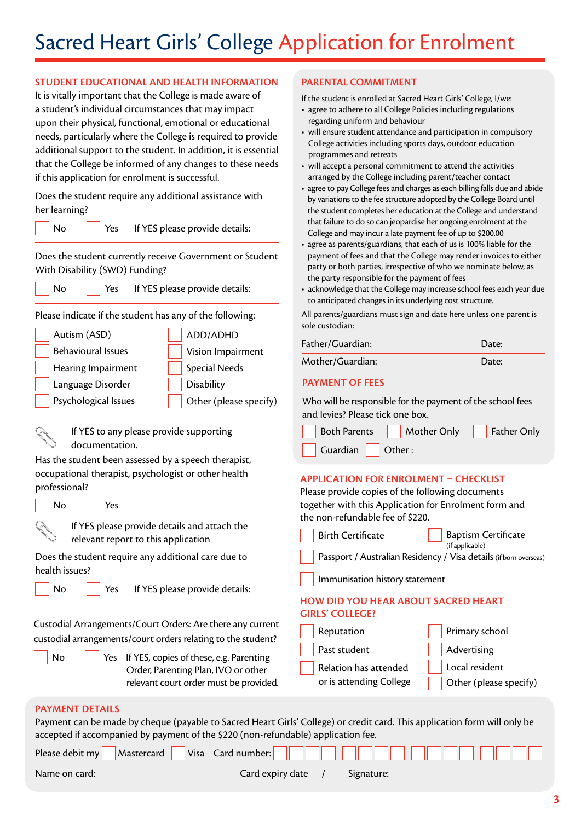### **STUDENT EDUCATIONAL AND HEALTH INFORMATION**

It is vitally important that the College is made aware of a student's individual circumstances that may impact upon their physical, functional, emotional or educational needs, particularly where the College is required to provide additional support to the student. In addition, it is essential that the College be informed of any changes to these needs if this application for enrolment is successful.

Does the student require any additional assistance with her learning?

No **Yes** If YES please provide details:

Does the student currently receive Government or Student With Disability (SWD) Funding?

No **Yes** If YES please provide details:

Please indicate if the student has any of the following:

| Autism (ASD)              | ADD/ADHD               |
|---------------------------|------------------------|
| <b>Behavioural Issues</b> | Vision Impairment      |
| Hearing Impairment        | <b>Special Needs</b>   |
| Language Disorder         | <b>Disability</b>      |
| Psychological Issues      | Other (please specify) |
|                           |                        |

If YES to any please provide supporting documentation.

Has the student been assessed by a speech therapist, occupational therapist, psychologist or other health professional?

| No.<br>Yes<br>If YES please provide details and attach the                                                                                                                                                                                                       | together with this Application for Enrolment form and<br>the non-refundable fee of \$220.                                                                   |
|------------------------------------------------------------------------------------------------------------------------------------------------------------------------------------------------------------------------------------------------------------------|-------------------------------------------------------------------------------------------------------------------------------------------------------------|
| relevant report to this application                                                                                                                                                                                                                              | <b>Birth Certificate</b><br><b>Baptism Certificate</b><br>(if applicable)                                                                                   |
| Does the student require any additional care due to<br>health issues?                                                                                                                                                                                            | Passport / Australian Residency / Visa details (if born overseas)<br>Immunisation history statement                                                         |
| If YES please provide details:<br>No.<br>Yes                                                                                                                                                                                                                     | <b>HOW DID YOU HEAR ABOUT SACRED HEART</b><br><b>GIRLS' COLLEGE?</b>                                                                                        |
| Custodial Arrangements/Court Orders: Are there any current<br>custodial arrangements/court orders relating to the student?<br>Yes If YES, copies of these, e.g. Parenting<br>No<br>Order, Parenting Plan, IVO or other<br>relevant court order must be provided. | Reputation<br>Primary school<br>Past student<br>Advertising<br>Local resident<br>Relation has attended<br>or is attending College<br>Other (please specify) |
| <b>PAYMENT DETAILS</b><br>Payment can be made by cheque (payable to Sacred Heart Girls' College) or credit card. This application form will only be<br>accepted if accompanied by payment of the \$220 (non-refundable) application fee.                         |                                                                                                                                                             |
| Please debit my<br>Visa Card number:<br>Mastercard                                                                                                                                                                                                               |                                                                                                                                                             |

## **PARENTAL COMMITMENT**

If the student is enrolled at Sacred Heart Girls' College, I/we:

- agree to adhere to all College Policies including regulations regarding uniform and behaviour
- will ensure student attendance and participation in compulsory College activities including sports days, outdoor education programmes and retreats
- will accept a personal commitment to attend the activities arranged by the College including parent/teacher contact
- agree to pay College fees and charges as each billing falls due and abide by variations to the fee structure adopted by the College Board until the student completes her education at the College and understand that failure to do so can jeopardise her ongoing enrolment at the College and may incur a late payment fee of up to \$200.00
- agree as parents/guardians, that each of us is 100% liable for the payment of fees and that the College may render invoices to either party or both parties, irrespective of who we nominate below, as the party responsible for the payment of fees
- acknowledge that the College may increase school fees each year due to anticipated changes in its underlying cost structure.

All parents/guardians must sign and date here unless one parent is sole custodian:

| Father/Guardian: | Date: |
|------------------|-------|
| Mother/Guardian: | Date: |
|                  |       |

#### **PAYMENT OF FEES**

Who will be responsible for the payment of the school fees and levies? Please tick one box.

|                                                           | Both Parents Mother Only Father Only |  |
|-----------------------------------------------------------|--------------------------------------|--|
| $\sqrt{\frac{1}{1}}$ Guardian $\sqrt{\frac{1}{1}}$ Other: |                                      |  |

## **APPLICATION FOR ENROLMENT – CHECKLIST**

Please provide copies of the following documents

|                 | <b>Birth Certificate</b>                                             |  | <b>Baptism Certificate</b><br>(if applicable) |  |  |  |  |
|-----------------|----------------------------------------------------------------------|--|-----------------------------------------------|--|--|--|--|
|                 | Passport / Australian Residency / Visa details (if born overseas)    |  |                                               |  |  |  |  |
|                 | Immunisation history statement                                       |  |                                               |  |  |  |  |
|                 | <b>HOW DID YOU HEAR ABOUT SACRED HEART</b><br><b>GIRLS' COLLEGE?</b> |  |                                               |  |  |  |  |
| ırrent<br>:1ent | Reputation                                                           |  | Primary school                                |  |  |  |  |
|                 | Dane neudowe                                                         |  | $A$ , decoration $\sim$                       |  |  |  |  |

| Name on card: \ | Card expiry date / | Signature: |  |
|-----------------|--------------------|------------|--|